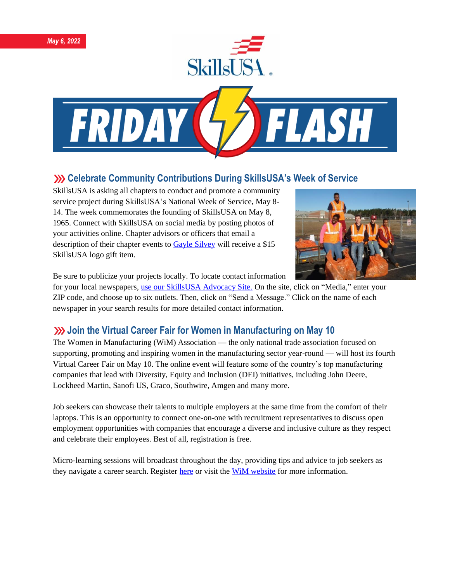





# **XX** Celebrate Community Contributions During SkillsUSA's Week of Service

SkillsUSA is asking all chapters to conduct and promote a community service project during SkillsUSA's National Week of Service, May 8- 14. The week commemorates the founding of SkillsUSA on May 8, 1965. Connect with SkillsUSA on social media by posting photos of your activities online. Chapter advisors or officers that email a description of their chapter events to [Gayle Silvey](mailto:gsilvey@skillsusa.org) will receive a \$15 SkillsUSA logo gift item.



Be sure to publicize your projects locally. To locate contact information

for your local newspapers[, use our SkillsUSA Advocacy Site.](https://www.congressweb.com/susa#/media) On the site, click on "Media," enter your ZIP code, and choose up to six outlets. Then, click on "Send a Message." Click on the name of each newspaper in your search results for more detailed contact information.

# **Join the Virtual Career Fair for Women in Manufacturing on May 10**

The Women in Manufacturing (WiM) Association — the only national trade association focused on supporting, promoting and inspiring women in the manufacturing sector year-round — will host its fourth Virtual Career Fair on May 10. The online event will feature some of the country's top manufacturing companies that lead with Diversity, Equity and Inclusion (DEI) initiatives, including John Deere, Lockheed Martin, Sanofi US, Graco, Southwire, Amgen and many more.

Job seekers can showcase their talents to multiple employers at the same time from the comfort of their laptops. This is an opportunity to connect one-on-one with recruitment representatives to discuss open employment opportunities with companies that encourage a diverse and inclusive culture as they respect and celebrate their employees. Best of all, registration is free.

Micro-learning sessions will broadcast throughout the day, providing tips and advice to job seekers as they navigate a career search. Register [here](https://app.brazenconnect.com/events/DJ3vK?utm_medium=email&utm_source=skills+newletter&utm_content=newsletter+article&utm_campaign=job+seeker) or visit the [WiM website](https://www.womeninmanufacturing.org/virtual-career-fair---organizations) for more information.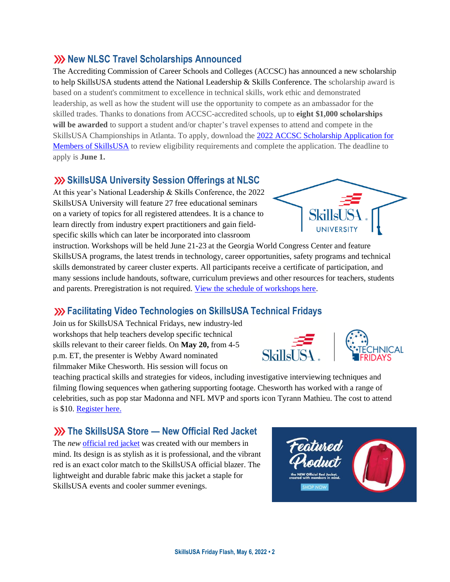#### **SkillsUSA Friday Flash, May 6, 2022 • 2**

#### **XX New NLSC Travel Scholarships Announced**

The Accrediting Commission of Career Schools and Colleges (ACCSC) has announced a new scholarship to help SkillsUSA students attend the National Leadership & Skills Conference. The scholarship award is based on a student's commitment to excellence in technical skills, work ethic and demonstrated leadership, as well as how the student will use the opportunity to compete as an ambassador for the skilled trades. Thanks to donations from ACCSC-accredited schools, up to **eight \$1,000 scholarships will be awarded** to support a student and/or chapter's travel expenses to attend and compete in the SkillsUSA Championships in Atlanta. To apply, download the [2022 ACCSC Scholarship Application for](https://www.accsc.org/UploadedDocuments/Student-Corner/SkillsUSA/ACCSC-SkillsUSA-Scholarship-2022-v.docx)  [Members of SkillsUSA](https://www.accsc.org/UploadedDocuments/Student-Corner/SkillsUSA/ACCSC-SkillsUSA-Scholarship-2022-v.docx) to review eligibility requirements and complete the application. The deadline to apply is **June 1.**

### **SkillsUSA University Session Offerings at NLSC**

At this year's National Leadership & Skills Conference, the 2022 SkillsUSA University will feature 27 free educational seminars on a variety of topics for all registered attendees. It is a chance to learn directly from industry expert practitioners and gain fieldspecific skills which can later be incorporated into classroom

instruction. Workshops will be held June 21-23 at the Georgia World Congress Center and feature SkillsUSA programs, the latest trends in technology, career opportunities, safety programs and technical skills demonstrated by career cluster experts. All participants receive a certificate of participation, and many sessions include handouts, software, curriculum previews and other resources for teachers, students and parents. Preregistration is not required. [View the schedule of workshops here.](https://www.skillsusa.org/wp-content/uploads/2022/04/SkillsUSA-University-Offerings-2022.pdf)

#### **Facilitating Video Technologies on SkillsUSA Technical Fridays**

Join us for SkillsUSA Technical Fridays, new industry-led workshops that help teachers develop specific technical skills relevant to their career fields. On **May 20,** from 4-5 p.m. ET, the presenter is Webby Award nominated filmmaker Mike Chesworth. His session will focus on

teaching practical skills and strategies for videos, including investigative interviewing techniques and filming flowing sequences when gathering supporting footage. Chesworth has worked with a range of celebrities, such as pop star Madonna and NFL MVP and sports icon Tyrann Mathieu. The cost to attend is \$10. [Register here.](https://skillsusa.wufoo.com/forms/love-and-logic-and-technical-fridays-registration)

#### **The SkillsUSA Store — New Official Red Jacket**

The *new* [official red jacket](https://skillsusastore.org/products/235556) was created with our members in mind. Its design is as stylish as it is professional, and the vibrant red is an exact color match to the SkillsUSA official blazer. The lightweight and durable fabric make this jacket a staple for SkillsUSA events and cooler summer evenings.





**HOP NOW** 

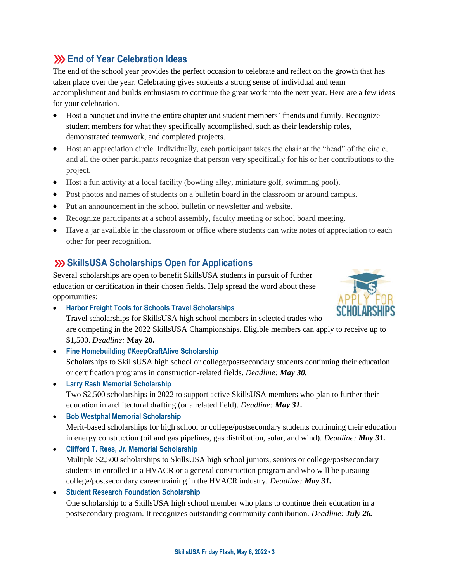# **End of Year Celebration Ideas**

The end of the school year provides the perfect occasion to celebrate and reflect on the growth that has taken place over the year. Celebrating gives students a strong sense of individual and team accomplishment and builds enthusiasm to continue the great work into the next year. Here are a few ideas for your celebration.

- Host a banquet and invite the entire chapter and student members' friends and family. Recognize student members for what they specifically accomplished, such as their leadership roles, demonstrated teamwork, and completed projects.
- Host an appreciation circle. Individually, each participant takes the chair at the "head" of the circle, and all the other participants recognize that person very specifically for his or her contributions to the project.
- Host a fun activity at a local facility (bowling alley, miniature golf, swimming pool).
- Post photos and names of students on a bulletin board in the classroom or around campus.
- Put an announcement in the school bulletin or newsletter and website.
- Recognize participants at a school assembly, faculty meeting or school board meeting.
- Have a jar available in the classroom or office where students can write notes of appreciation to each other for peer recognition.

## **ShillsUSA Scholarships Open for Applications**

Several scholarships are open to benefit SkillsUSA students in pursuit of further education or certification in their chosen fields. Help spread the word about these opportunities:



• **Harbor Freight Tools for Schools Travel Scholarships**

Travel scholarships for SkillsUSA high school members in selected trades who are competing in the 2022 SkillsUSA Championships. Eligible members can apply to receive up to \$1,500. *Deadline:* **May 20.**

- **Fine Homebuilding #KeepCraftAlive Scholarship** Scholarships to SkillsUSA high school or college/postsecondary students continuing their education or certification programs in construction-related fields. *Deadline: May 30.*
- **Larry Rash Memorial Scholarship**

Two \$2,500 scholarships in 2022 to support active SkillsUSA members who plan to further their education in architectural drafting (or a related field). *Deadline: May 31***.**

- **Bob Westphal Memorial Scholarship** Merit-based scholarships for high school or college/postsecondary students continuing their education in energy construction (oil and gas pipelines, gas distribution, solar, and wind). *Deadline: May 31.*
- **Clifford T. Rees, Jr. Memorial Scholarship** Multiple \$2,500 scholarships to SkillsUSA high school juniors, seniors or college/postsecondary students in enrolled in a HVACR or a general construction program and who will be pursuing college/postsecondary career training in the HVACR industry. *Deadline: May 31.*
- **Student Research Foundation Scholarship** One scholarship to a SkillsUSA high school member who plans to continue their education in a postsecondary program. It recognizes outstanding community contribution. *Deadline: July 26.*